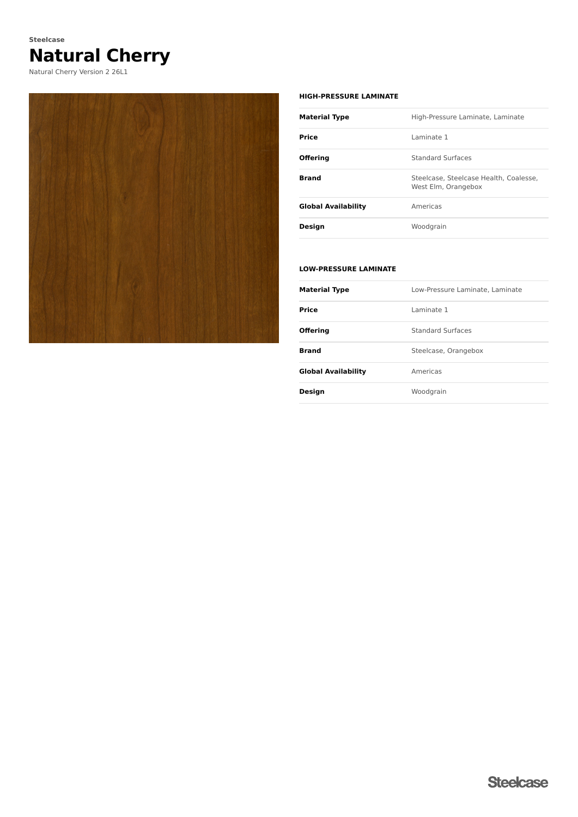# **Natural Cherry Steelcase**

Natural Cherry Version 2 26L1



#### **HIGH-PRESSURE LAMINATE**

| <b>Material Type</b>       | High-Pressure Laminate, Laminate                              |  |  |
|----------------------------|---------------------------------------------------------------|--|--|
| Price                      | I aminate 1                                                   |  |  |
| <b>Offering</b>            | <b>Standard Surfaces</b>                                      |  |  |
| <b>Brand</b>               | Steelcase, Steelcase Health, Coalesse,<br>West Elm, Orangebox |  |  |
| <b>Global Availability</b> | Americas                                                      |  |  |
| Design                     | Woodgrain                                                     |  |  |

### **LOW-PRESSURE LAMINATE**

| <b>Material Type</b>       | Low-Pressure Laminate, Laminate |  |  |
|----------------------------|---------------------------------|--|--|
| Price                      | I aminate 1                     |  |  |
| <b>Offering</b>            | <b>Standard Surfaces</b>        |  |  |
| <b>Brand</b>               | Steelcase, Orangebox            |  |  |
| <b>Global Availability</b> | Americas                        |  |  |
| <b>Design</b>              | Woodgrain                       |  |  |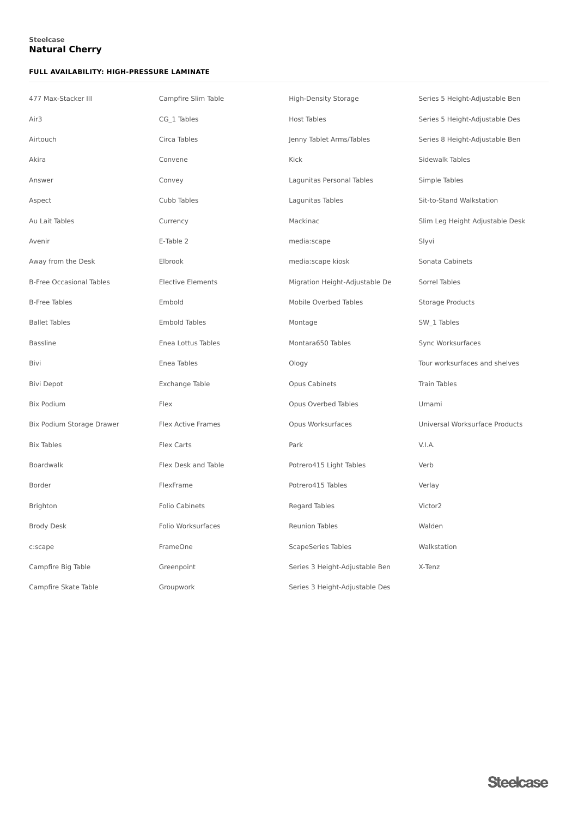## **Natural Cherry Steelcase**

### **FULL AVAILABILITY: HIGH-PRESSURE LAMINATE**

| 477 Max-Stacker III             | Campfire Slim Table       | <b>High-Density Storage</b>    | Series 5 Height-Adjustable Ben  |
|---------------------------------|---------------------------|--------------------------------|---------------------------------|
| Air <sub>3</sub>                | CG_1 Tables               | <b>Host Tables</b>             | Series 5 Height-Adjustable Des  |
| Airtouch                        | Circa Tables              | Jenny Tablet Arms/Tables       | Series 8 Height-Adjustable Ben  |
| Akira                           | Convene                   | Kick                           | Sidewalk Tables                 |
| Answer                          | Convey                    | Lagunitas Personal Tables      | Simple Tables                   |
| Aspect                          | Cubb Tables               | Lagunitas Tables               | Sit-to-Stand Walkstation        |
| Au Lait Tables                  | Currency                  | Mackinac                       | Slim Leg Height Adjustable Desk |
| Avenir                          | E-Table 2                 | media:scape                    | Slyvi                           |
| Away from the Desk              | Elbrook                   | media:scape kiosk              | Sonata Cabinets                 |
| <b>B-Free Occasional Tables</b> | <b>Elective Elements</b>  | Migration Height-Adjustable De | Sorrel Tables                   |
| <b>B-Free Tables</b>            | Embold                    | Mobile Overbed Tables          | <b>Storage Products</b>         |
| <b>Ballet Tables</b>            | <b>Embold Tables</b>      | Montage                        | SW_1 Tables                     |
| <b>Bassline</b>                 | Enea Lottus Tables        | Montara650 Tables              | Sync Worksurfaces               |
| Bivi                            | Enea Tables               | Ology                          | Tour worksurfaces and shelves   |
| <b>Bivi Depot</b>               | Exchange Table            | Opus Cabinets                  | <b>Train Tables</b>             |
| <b>Bix Podium</b>               | Flex                      | Opus Overbed Tables            | Umami                           |
| Bix Podium Storage Drawer       | <b>Flex Active Frames</b> | Opus Worksurfaces              | Universal Worksurface Products  |
| <b>Bix Tables</b>               | Flex Carts                | Park                           | V.I.A.                          |
| Boardwalk                       | Flex Desk and Table       | Potrero415 Light Tables        | Verb                            |
| Border                          | FlexFrame                 | Potrero415 Tables              | Verlay                          |
| Brighton                        | <b>Folio Cabinets</b>     | Regard Tables                  | Victor2                         |
| <b>Brody Desk</b>               | Folio Worksurfaces        | <b>Reunion Tables</b>          | Walden                          |
| c:scape                         | FrameOne                  | <b>ScapeSeries Tables</b>      | Walkstation                     |
| Campfire Big Table              | Greenpoint                | Series 3 Height-Adjustable Ben | X-Tenz                          |
| Campfire Skate Table            | Groupwork                 | Series 3 Height-Adjustable Des |                                 |